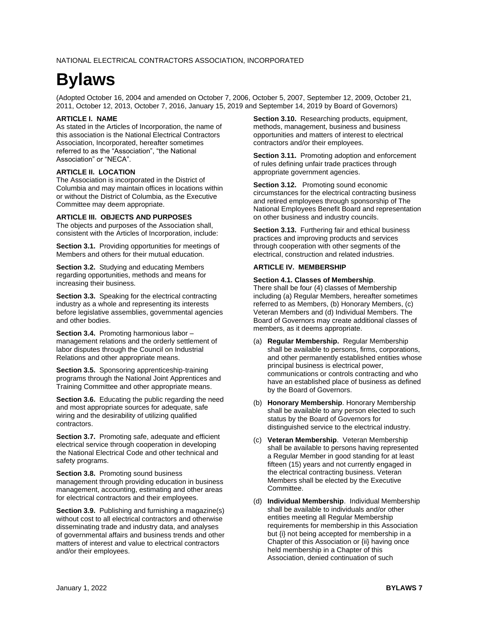# **Bylaws**

(Adopted October 16, 2004 and amended on October 7, 2006, October 5, 2007, September 12, 2009, October 21, 2011, October 12, 2013, October 7, 2016, January 15, 2019 and September 14, 2019 by Board of Governors)

## **ARTICLE I. NAME**

As stated in the Articles of Incorporation, the name of this association is the National Electrical Contractors Association, Incorporated, hereafter sometimes referred to as the "Association", "the National Association" or "NECA".

## **ARTICLE II. LOCATION**

The Association is incorporated in the District of Columbia and may maintain offices in locations within or without the District of Columbia, as the Executive Committee may deem appropriate.

## **ARTICLE III. OBJECTS AND PURPOSES**

The objects and purposes of the Association shall, consistent with the Articles of Incorporation, include:

**Section 3.1.** Providing opportunities for meetings of Members and others for their mutual education.

**Section 3.2.** Studying and educating Members regarding opportunities, methods and means for increasing their business.

**Section 3.3.** Speaking for the electrical contracting industry as a whole and representing its interests before legislative assemblies, governmental agencies and other bodies.

**Section 3.4.** Promoting harmonious labor – management relations and the orderly settlement of labor disputes through the Council on Industrial Relations and other appropriate means.

**Section 3.5.** Sponsoring apprenticeship-training programs through the National Joint Apprentices and Training Committee and other appropriate means.

**Section 3.6.** Educating the public regarding the need and most appropriate sources for adequate, safe wiring and the desirability of utilizing qualified contractors.

**Section 3.7.** Promoting safe, adequate and efficient electrical service through cooperation in developing the National Electrical Code and other technical and safety programs.

**Section 3.8.** Promoting sound business management through providing education in business management, accounting, estimating and other areas for electrical contractors and their employees.

**Section 3.9.** Publishing and furnishing a magazine(s) without cost to all electrical contractors and otherwise disseminating trade and industry data, and analyses of governmental affairs and business trends and other matters of interest and value to electrical contractors and/or their employees.

**Section 3.10.** Researching products, equipment, methods, management, business and business opportunities and matters of interest to electrical contractors and/or their employees.

**Section 3.11.** Promoting adoption and enforcement of rules defining unfair trade practices through appropriate government agencies.

**Section 3.12.** Promoting sound economic circumstances for the electrical contracting business and retired employees through sponsorship of The National Employees Benefit Board and representation on other business and industry councils.

**Section 3.13.** Furthering fair and ethical business practices and improving products and services through cooperation with other segments of the electrical, construction and related industries.

## **ARTICLE IV. MEMBERSHIP**

## **Section 4.1. Classes of Membership**.

There shall be four (4) classes of Membership including (a) Regular Members, hereafter sometimes referred to as Members, (b) Honorary Members, (c) Veteran Members and (d) Individual Members. The Board of Governors may create additional classes of members, as it deems appropriate.

- (a) **Regular Membership.** Regular Membership shall be available to persons, firms, corporations, and other permanently established entities whose principal business is electrical power, communications or controls contracting and who have an established place of business as defined by the Board of Governors.
- (b) **Honorary Membership**. Honorary Membership shall be available to any person elected to such status by the Board of Governors for distinguished service to the electrical industry.
- (c) **Veteran Membership**. Veteran Membership shall be available to persons having represented a Regular Member in good standing for at least fifteen (15) years and not currently engaged in the electrical contracting business. Veteran Members shall be elected by the Executive Committee.
- (d) **Individual Membership**. Individual Membership shall be available to individuals and/or other entities meeting all Regular Membership requirements for membership in this Association but {i} not being accepted for membership in a Chapter of this Association or {ii} having once held membership in a Chapter of this Association, denied continuation of such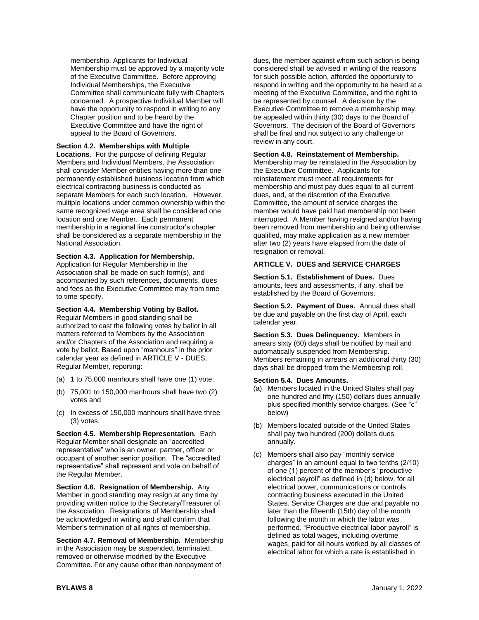membership. Applicants for Individual Membership must be approved by a majority vote of the Executive Committee. Before approving Individual Memberships, the Executive Committee shall communicate fully with Chapters concerned. A prospective Individual Member will have the opportunity to respond in writing to any Chapter position and to be heard by the Executive Committee and have the right of appeal to the Board of Governors.

## **Section 4**.**2. Memberships with Multiple**

**Locations**. For the purpose of defining Regular Members and Individual Members, the Association shall consider Member entities having more than one permanently established business location from which electrical contracting business is conducted as separate Members for each such location. However, multiple locations under common ownership within the same recognized wage area shall be considered one location and one Member. Each permanent membership in a regional line constructor's chapter shall be considered as a separate membership in the National Association.

#### **Section 4.3. Application for Membership.**

Application for Regular Membership in the Association shall be made on such form(s), and accompanied by such references, documents, dues and fees as the Executive Committee may from time to time specify.

**Section 4.4. Membership Voting by Ballot.** Regular Members in good standing shall be authorized to cast the following votes by ballot in all matters referred to Members by the Association and/or Chapters of the Association and requiring a vote by ballot. Based upon "manhours" in the prior calendar year as defined in ARTICLE V - DUES, Regular Member, reporting:

- (a) 1 to 75,000 manhours shall have one (1) vote;
- (b) 75,001 to 150,000 manhours shall have two (2) votes and
- (c) In excess of 150,000 manhours shall have three (3) votes.

**Section 4.5. Membership Representation.** Each Regular Member shall designate an "accredited representative" who is an owner, partner, officer or occupant of another senior position. The "accredited representative" shall represent and vote on behalf of the Regular Member.

**Section 4.6. Resignation of Membership.** Any Member in good standing may resign at any time by providing written notice to the Secretary/Treasurer of the Association. Resignations of Membership shall be acknowledged in writing and shall confirm that Member's termination of all rights of membership.

**Section 4.7. Removal of Membership.** Membership in the Association may be suspended, terminated, removed or otherwise modified by the Executive Committee. For any cause other than nonpayment of

dues, the member against whom such action is being considered shall be advised in writing of the reasons for such possible action, afforded the opportunity to respond in writing and the opportunity to be heard at a meeting of the Executive Committee, and the right to be represented by counsel. A decision by the Executive Committee to remove a membership may be appealed within thirty (30) days to the Board of Governors. The decision of the Board of Governors shall be final and not subject to any challenge or review in any court.

#### **Section 4.8. Reinstatement of Membership.**

Membership may be reinstated in the Association by the Executive Committee. Applicants for reinstatement must meet all requirements for membership and must pay dues equal to all current dues, and, at the discretion of the Executive Committee, the amount of service charges the member would have paid had membership not been interrupted. A Member having resigned and/or having been removed from membership and being otherwise qualified, may make application as a new member after two (2) years have elapsed from the date of resignation or removal.

#### **ARTICLE V. DUES and SERVICE CHARGES**

**Section 5.1. Establishment of Dues.** Dues amounts, fees and assessments, if any, shall be established by the Board of Governors.

**Section 5.2. Payment of Dues.** Annual dues shall be due and payable on the first day of April, each calendar year.

**Section 5.3. Dues Delinquency.** Members in arrears sixty (60) days shall be notified by mail and automatically suspended from Membership. Members remaining in arrears an additional thirty (30) days shall be dropped from the Membership roll.

#### **Section 5.4. Dues Amounts.**

- (a) Members located in the United States shall pay one hundred and fifty (150) dollars dues annually plus specified monthly service charges. (See "c" below)
- (b) Members located outside of the United States shall pay two hundred (200) dollars dues annually.
- (c) Members shall also pay "monthly service charges" in an amount equal to two tenths (2/10) of one (1) percent of the member's "productive electrical payroll" as defined in (d) below, for all electrical power, communications or controls contracting business executed in the United States. Service Charges are due and payable no later than the fifteenth (15th) day of the month following the month in which the labor was performed. "Productive electrical labor payroll" is defined as total wages, including overtime wages, paid for all hours worked by all classes of electrical labor for which a rate is established in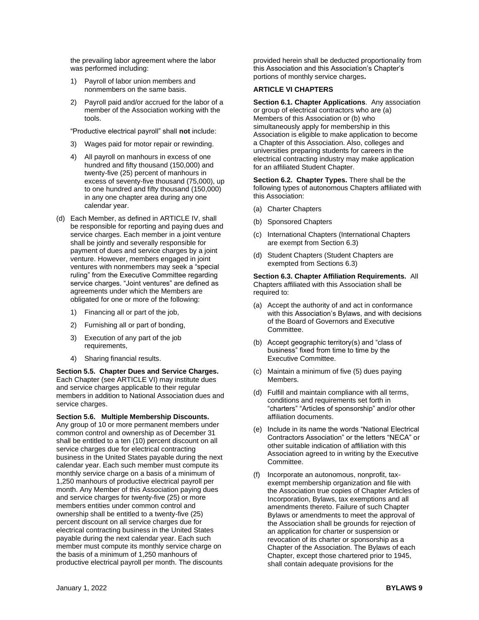the prevailing labor agreement where the labor was performed including:

- 1) Payroll of labor union members and nonmembers on the same basis.
- 2) Payroll paid and/or accrued for the labor of a member of the Association working with the tools.

"Productive electrical payroll" shall **not** include:

- 3) Wages paid for motor repair or rewinding.
- 4) All payroll on manhours in excess of one hundred and fifty thousand (150,000) and twenty-five (25) percent of manhours in excess of seventy-five thousand (75,000), up to one hundred and fifty thousand (150,000) in any one chapter area during any one calendar year.
- (d) Each Member, as defined in ARTICLE IV, shall be responsible for reporting and paying dues and service charges. Each member in a joint venture shall be jointly and severally responsible for payment of dues and service charges by a joint venture. However, members engaged in joint ventures with nonmembers may seek a "special ruling" from the Executive Committee regarding service charges. "Joint ventures" are defined as agreements under which the Members are obligated for one or more of the following:
	- 1) Financing all or part of the job,
	- 2) Furnishing all or part of bonding,
	- 3) Execution of any part of the job requirements,
	- 4) Sharing financial results.

**Section 5.5. Chapter Dues and Service Charges.** Each Chapter (see ARTICLE VI) may institute dues and service charges applicable to their regular members in addition to National Association dues and service charges.

**Section 5.6. Multiple Membership Discounts.**  Any group of 10 or more permanent members under common control and ownership as of December 31 shall be entitled to a ten (10) percent discount on all service charges due for electrical contracting business in the United States payable during the next calendar year. Each such member must compute its monthly service charge on a basis of a minimum of 1,250 manhours of productive electrical payroll per month. Any Member of this Association paying dues and service charges for twenty-five (25) or more members entities under common control and ownership shall be entitled to a twenty-five (25) percent discount on all service charges due for electrical contracting business in the United States payable during the next calendar year. Each such member must compute its monthly service charge on the basis of a minimum of 1,250 manhours of productive electrical payroll per month. The discounts

provided herein shall be deducted proportionality from this Association and this Association's Chapter's portions of monthly service charges**.**

## **ARTICLE VI CHAPTERS**

**Section 6.1. Chapter Applications**. Any association or group of electrical contractors who are (a) Members of this Association or (b) who simultaneously apply for membership in this Association is eligible to make application to become a Chapter of this Association. Also, colleges and universities preparing students for careers in the electrical contracting industry may make application for an affiliated Student Chapter.

**Section 6.2. Chapter Types.** There shall be the following types of autonomous Chapters affiliated with this Association:

- (a) Charter Chapters
- (b) Sponsored Chapters
- (c) International Chapters (International Chapters are exempt from Section 6.3)
- (d) Student Chapters (Student Chapters are exempted from Sections 6.3)

**Section 6.3. Chapter Affiliation Requirements.** All Chapters affiliated with this Association shall be required to:

- (a) Accept the authority of and act in conformance with this Association's Bylaws, and with decisions of the Board of Governors and Executive Committee.
- (b) Accept geographic territory(s) and "class of business" fixed from time to time by the Executive Committee.
- (c) Maintain a minimum of five (5) dues paying Members.
- (d) Fulfill and maintain compliance with all terms, conditions and requirements set forth in "charters" "Articles of sponsorship" and/or other affiliation documents.
- (e) Include in its name the words "National Electrical Contractors Association" or the letters "NECA" or other suitable indication of affiliation with this Association agreed to in writing by the Executive Committee.
- (f) Incorporate an autonomous, nonprofit, taxexempt membership organization and file with the Association true copies of Chapter Articles of Incorporation, Bylaws, tax exemptions and all amendments thereto. Failure of such Chapter Bylaws or amendments to meet the approval of the Association shall be grounds for rejection of an application for charter or suspension or revocation of its charter or sponsorship as a Chapter of the Association. The Bylaws of each Chapter, except those chartered prior to 1945, shall contain adequate provisions for the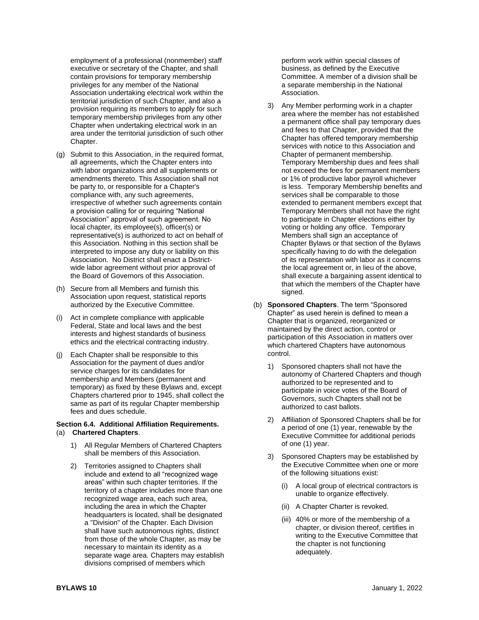employment of a professional (nonmember) staff executive or secretary of the Chapter, and shall contain provisions for temporary membership privileges for any member of the National Association undertaking electrical work within the territorial jurisdiction of such Chapter, and also a provision requiring its members to apply for such temporary membership privileges from any other Chapter when undertaking electrical work in an area under the territorial jurisdiction of such other Chapter.

- (g) Submit to this Association, in the required format, all agreements, which the Chapter enters into with labor organizations and all supplements or amendments thereto. This Association shall not be party to, or responsible for a Chapter's compliance with, any such agreements, irrespective of whether such agreements contain a provision calling for or requiring "National Association" approval of such agreement. No local chapter, its employee(s), officer(s) or representative(s) is authorized to act on behalf of this Association. Nothing in this section shall be interpreted to impose any duty or liability on this Association. No District shall enact a Districtwide labor agreement without prior approval of the Board of Governors of this Association.
- (h) Secure from all Members and furnish this Association upon request, statistical reports authorized by the Executive Committee.
- (i) Act in complete compliance with applicable Federal, State and local laws and the best interests and highest standards of business ethics and the electrical contracting industry.
- (j) Each Chapter shall be responsible to this Association for the payment of dues and/or service charges for its candidates for membership and Members (permanent and temporary) as fixed by these Bylaws and, except Chapters chartered prior to 1945, shall collect the same as part of its regular Chapter membership fees and dues schedule.

#### **Section 6.4. Additional Affiliation Requirements.** (a) **Chartered Chapters**.

- 1) All Regular Members of Chartered Chapters shall be members of this Association.
- 2) Territories assigned to Chapters shall include and extend to all "recognized wage areas" within such chapter territories. If the territory of a chapter includes more than one recognized wage area, each such area, including the area in which the Chapter headquarters is located, shall be designated a "Division" of the Chapter. Each Division shall have such autonomous rights, distinct from those of the whole Chapter, as may be necessary to maintain its identity as a separate wage area. Chapters may establish divisions comprised of members which

perform work within special classes of business, as defined by the Executive Committee. A member of a division shall be a separate membership in the National Association.

- 3) Any Member performing work in a chapter area where the member has not established a permanent office shall pay temporary dues and fees to that Chapter, provided that the Chapter has offered temporary membership services with notice to this Association and Chapter of permanent membership. Temporary Membership dues and fees shall not exceed the fees for permanent members or 1% of productive labor payroll whichever is less. Temporary Membership benefits and services shall be comparable to those extended to permanent members except that Temporary Members shall not have the right to participate in Chapter elections either by voting or holding any office. Temporary Members shall sign an acceptance of Chapter Bylaws or that section of the Bylaws specifically having to do with the delegation of its representation with labor as it concerns the local agreement or, in lieu of the above, shall execute a bargaining assent identical to that which the members of the Chapter have signed.
- (b) **Sponsored Chapters**. The term "Sponsored Chapter" as used herein is defined to mean a Chapter that is organized, reorganized or maintained by the direct action, control or participation of this Association in matters over which chartered Chapters have autonomous control.
	- 1) Sponsored chapters shall not have the autonomy of Chartered Chapters and though authorized to be represented and to participate in voice votes of the Board of Governors, such Chapters shall not be authorized to cast ballots.
	- 2) Affiliation of Sponsored Chapters shall be for a period of one (1) year, renewable by the Executive Committee for additional periods of one (1) year.
	- 3) Sponsored Chapters may be established by the Executive Committee when one or more of the following situations exist:
		- A local group of electrical contractors is unable to organize effectively.
		- (ii) A Chapter Charter is revoked.
		- (iii) 40% or more of the membership of a chapter, or division thereof, certifies in writing to the Executive Committee that the chapter is not functioning adequately.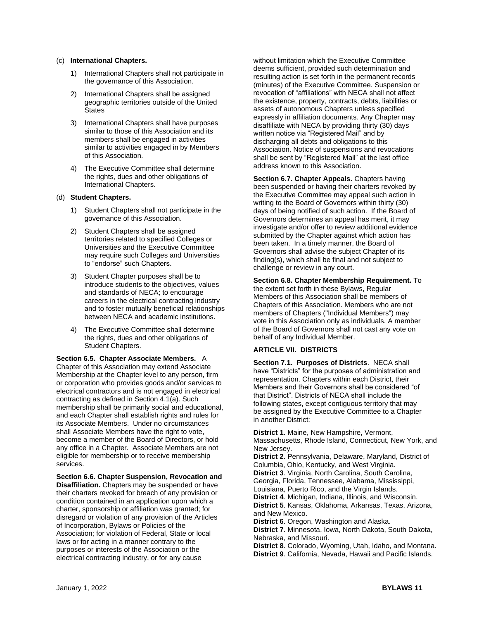#### (c) **International Chapters.**

- 1) International Chapters shall not participate in the governance of this Association.
- 2) International Chapters shall be assigned geographic territories outside of the United **States**
- 3) International Chapters shall have purposes similar to those of this Association and its members shall be engaged in activities similar to activities engaged in by Members of this Association.
- 4) The Executive Committee shall determine the rights, dues and other obligations of International Chapters.

## (d) **Student Chapters.**

- 1) Student Chapters shall not participate in the governance of this Association.
- 2) Student Chapters shall be assigned territories related to specified Colleges or Universities and the Executive Committee may require such Colleges and Universities to "endorse" such Chapters.
- 3) Student Chapter purposes shall be to introduce students to the objectives, values and standards of NECA; to encourage careers in the electrical contracting industry and to foster mutually beneficial relationships between NECA and academic institutions.
- 4) The Executive Committee shall determine the rights, dues and other obligations of Student Chapters.

**Section 6.5. Chapter Associate Members.** A Chapter of this Association may extend Associate Membership at the Chapter level to any person, firm or corporation who provides goods and/or services to electrical contractors and is not engaged in electrical contracting as defined in Section 4.1(a). Such membership shall be primarily social and educational, and each Chapter shall establish rights and rules for its Associate Members. Under no circumstances shall Associate Members have the right to vote, become a member of the Board of Directors, or hold any office in a Chapter. Associate Members are not eligible for membership or to receive membership services.

**Section 6.6. Chapter Suspension, Revocation and Disaffiliation.** Chapters may be suspended or have

their charters revoked for breach of any provision or condition contained in an application upon which a charter, sponsorship or affiliation was granted; for disregard or violation of any provision of the Articles of Incorporation, Bylaws or Policies of the Association; for violation of Federal, State or local laws or for acting in a manner contrary to the purposes or interests of the Association or the electrical contracting industry, or for any cause

without limitation which the Executive Committee deems sufficient, provided such determination and resulting action is set forth in the permanent records (minutes) of the Executive Committee. Suspension or revocation of "affiliations" with NECA shall not affect the existence, property, contracts, debts, liabilities or assets of autonomous Chapters unless specified expressly in affiliation documents. Any Chapter may disaffiliate with NECA by providing thirty (30) days written notice via "Registered Mail" and by discharging all debts and obligations to this Association. Notice of suspensions and revocations shall be sent by "Registered Mail" at the last office address known to this Association.

**Section 6.7. Chapter Appeals.** Chapters having been suspended or having their charters revoked by the Executive Committee may appeal such action in writing to the Board of Governors within thirty (30) days of being notified of such action. If the Board of Governors determines an appeal has merit, it may investigate and/or offer to review additional evidence submitted by the Chapter against which action has been taken. In a timely manner, the Board of Governors shall advise the subject Chapter of its finding(s), which shall be final and not subject to challenge or review in any court.

**Section 6.8. Chapter Membership Requirement.** To the extent set forth in these Bylaws, Regular Members of this Association shall be members of Chapters of this Association. Members who are not members of Chapters ("Individual Members") may vote in this Association only as individuals. A member of the Board of Governors shall not cast any vote on behalf of any Individual Member.

## **ARTICLE VII. DISTRICTS**

**Section 7.1. Purposes of Districts**. NECA shall have "Districts" for the purposes of administration and representation. Chapters within each District, their Members and their Governors shall be considered "of that District". Districts of NECA shall include the following states, except contiguous territory that may be assigned by the Executive Committee to a Chapter in another District:

**District 1**. Maine, New Hampshire, Vermont, Massachusetts, Rhode Island, Connecticut, New York, and New Jersey. **District 2**. Pennsylvania, Delaware, Maryland, District of Columbia, Ohio, Kentucky, and West Virginia. **District 3**. Virginia, North Carolina, South Carolina, Georgia, Florida, Tennessee, Alabama, Mississippi, Louisiana, Puerto Rico, and the Virgin Islands. **District 4**. Michigan, Indiana, Illinois, and Wisconsin. **District 5**. Kansas, Oklahoma, Arkansas, Texas, Arizona, and New Mexico. **District 6**. Oregon, Washington and Alaska. **District 7**. Minnesota, Iowa, North Dakota, South Dakota, Nebraska, and Missouri. **District 8**. Colorado, Wyoming, Utah, Idaho, and Montana. **District 9**. California, Nevada, Hawaii and Pacific Islands.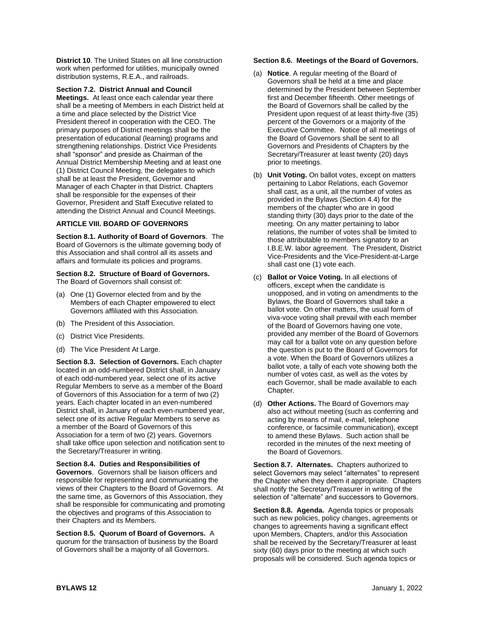**District 10.** The United States on all line construction work when performed for utilities, municipally owned distribution systems, R.E.A., and railroads.

**Section 7.2. District Annual and Council** 

**Meetings.** At least once each calendar year there shall be a meeting of Members in each District held at a time and place selected by the District Vice President thereof in cooperation with the CEO. The primary purposes of District meetings shall be the presentation of educational (learning) programs and strengthening relationships. District Vice Presidents shall "sponsor" and preside as Chairman of the Annual District Membership Meeting and at least one (1) District Council Meeting, the delegates to which shall be at least the President, Governor and Manager of each Chapter in that District. Chapters shall be responsible for the expenses of their Governor, President and Staff Executive related to attending the District Annual and Council Meetings.

## **ARTICLE VIII. BOARD OF GOVERNORS**

**Section 8.1. Authority of Board of Governors**. The Board of Governors is the ultimate governing body of this Association and shall control all its assets and affairs and formulate its policies and programs.

**Section 8.2. Structure of Board of Governors.** The Board of Governors shall consist of:

- (a) One (1) Governor elected from and by the Members of each Chapter empowered to elect Governors affiliated with this Association.
- (b) The President of this Association.
- (c) District Vice Presidents.
- (d) The Vice President At Large.

**Section 8.3. Selection of Governors.** Each chapter located in an odd-numbered District shall, in January of each odd-numbered year, select one of its active Regular Members to serve as a member of the Board of Governors of this Association for a term of two (2) years. Each chapter located in an even-numbered District shall, in January of each even-numbered year, select one of its active Regular Members to serve as a member of the Board of Governors of this Association for a term of two (2) years. Governors shall take office upon selection and notification sent to the Secretary/Treasurer in writing.

**Section 8.4. Duties and Responsibilities of Governors**. Governors shall be liaison officers and responsible for representing and communicating the views of their Chapters to the Board of Governors. At the same time, as Governors of this Association, they shall be responsible for communicating and promoting the objectives and programs of this Association to their Chapters and its Members.

**Section 8.5. Quorum of Board of Governors.** A quorum for the transaction of business by the Board of Governors shall be a majority of all Governors.

#### **Section 8.6. Meetings of the Board of Governors.**

- (a) **Notice**. A regular meeting of the Board of Governors shall be held at a time and place determined by the President between September first and December fifteenth. Other meetings of the Board of Governors shall be called by the President upon request of at least thirty-five (35) percent of the Governors or a majority of the Executive Committee. Notice of all meetings of the Board of Governors shall be sent to all Governors and Presidents of Chapters by the Secretary/Treasurer at least twenty (20) days prior to meetings.
- (b) **Unit Voting.** On ballot votes, except on matters pertaining to Labor Relations, each Governor shall cast, as a unit, all the number of votes as provided in the Bylaws (Section 4.4) for the members of the chapter who are in good standing thirty (30) days prior to the date of the meeting. On any matter pertaining to labor relations, the number of votes shall be limited to those attributable to members signatory to an I.B.E.W. labor agreement. The President, District Vice-Presidents and the Vice-President-at-Large shall cast one (1) vote each.
- (c) **Ballot or Voice Voting.** In all elections of officers, except when the candidate is unopposed, and in voting on amendments to the Bylaws, the Board of Governors shall take a ballot vote. On other matters, the usual form of viva-voce voting shall prevail with each member of the Board of Governors having one vote, provided any member of the Board of Governors may call for a ballot vote on any question before the question is put to the Board of Governors for a vote. When the Board of Governors utilizes a ballot vote, a tally of each vote showing both the number of votes cast, as well as the votes by each Governor, shall be made available to each Chapter.
- (d) **Other Actions.** The Board of Governors may also act without meeting (such as conferring and acting by means of mail, e-mail, telephone conference, or facsimile communication), except to amend these Bylaws. Such action shall be recorded in the minutes of the next meeting of the Board of Governors.

**Section 8.7. Alternates.** Chapters authorized to select Governors may select "alternates" to represent the Chapter when they deem it appropriate. Chapters shall notify the Secretary/Treasurer in writing of the selection of "alternate" and successors to Governors.

**Section 8.8. Agenda.** Agenda topics or proposals such as new policies, policy changes, agreements or changes to agreements having a significant effect upon Members, Chapters, and/or this Association shall be received by the Secretary/Treasurer at least sixty (60) days prior to the meeting at which such proposals will be considered. Such agenda topics or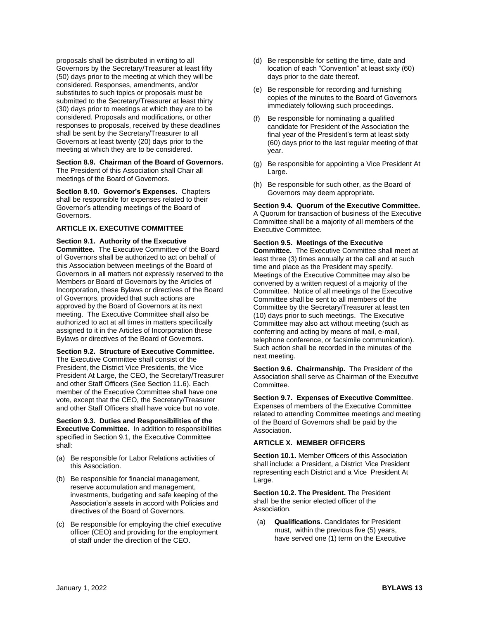proposals shall be distributed in writing to all Governors by the Secretary/Treasurer at least fifty (50) days prior to the meeting at which they will be considered. Responses, amendments, and/or substitutes to such topics or proposals must be submitted to the Secretary/Treasurer at least thirty (30) days prior to meetings at which they are to be considered. Proposals and modifications, or other responses to proposals, received by these deadlines shall be sent by the Secretary/Treasurer to all Governors at least twenty (20) days prior to the meeting at which they are to be considered.

## **Section 8.9. Chairman of the Board of Governors.**

The President of this Association shall Chair all meetings of the Board of Governors.

**Section 8.10. Governor's Expenses.** Chapters shall be responsible for expenses related to their Governor's attending meetings of the Board of Governors.

## **ARTICLE IX. EXECUTIVE COMMITTEE**

**Section 9.1. Authority of the Executive Committee.** The Executive Committee of the Board of Governors shall be authorized to act on behalf of this Association between meetings of the Board of Governors in all matters not expressly reserved to the Members or Board of Governors by the Articles of Incorporation, these Bylaws or directives of the Board of Governors, provided that such actions are approved by the Board of Governors at its next meeting. The Executive Committee shall also be authorized to act at all times in matters specifically assigned to it in the Articles of Incorporation these Bylaws or directives of the Board of Governors.

## **Section 9.2. Structure of Executive Committee.**

The Executive Committee shall consist of the President, the District Vice Presidents, the Vice President At Large, the CEO, the Secretary/Treasurer and other Staff Officers (See Section 11.6). Each member of the Executive Committee shall have one vote, except that the CEO, the Secretary/Treasurer and other Staff Officers shall have voice but no vote.

#### **Section 9.3. Duties and Responsibilities of the Executive Committee.** In addition to responsibilities specified in Section 9.1, the Executive Committee shall:

- (a) Be responsible for Labor Relations activities of this Association.
- (b) Be responsible for financial management, reserve accumulation and management, investments, budgeting and safe keeping of the Association's assets in accord with Policies and directives of the Board of Governors.
- (c) Be responsible for employing the chief executive officer (CEO) and providing for the employment of staff under the direction of the CEO.
- (d) Be responsible for setting the time, date and location of each "Convention" at least sixty (60) days prior to the date thereof.
- (e) Be responsible for recording and furnishing copies of the minutes to the Board of Governors immediately following such proceedings.
- (f) Be responsible for nominating a qualified candidate for President of the Association the final year of the President's term at least sixty (60) days prior to the last regular meeting of that year.
- (g) Be responsible for appointing a Vice President At Large.
- (h) Be responsible for such other, as the Board of Governors may deem appropriate.

**Section 9.4. Quorum of the Executive Committee.** A Quorum for transaction of business of the Executive Committee shall be a majority of all members of the Executive Committee.

## **Section 9.5. Meetings of the Executive**

**Committee.** The Executive Committee shall meet at least three (3) times annually at the call and at such time and place as the President may specify. Meetings of the Executive Committee may also be convened by a written request of a majority of the Committee. Notice of all meetings of the Executive Committee shall be sent to all members of the Committee by the Secretary/Treasurer at least ten (10) days prior to such meetings. The Executive Committee may also act without meeting (such as conferring and acting by means of mail, e-mail, telephone conference, or facsimile communication). Such action shall be recorded in the minutes of the next meeting.

**Section 9.6. Chairmanship.** The President of the Association shall serve as Chairman of the Executive Committee.

**Section 9.7. Expenses of Executive Committee**. Expenses of members of the Executive Committee related to attending Committee meetings and meeting of the Board of Governors shall be paid by the

## **ARTICLE X. MEMBER OFFICERS**

Association.

**Section 10.1.** Member Officers of this Association shall include: a President, a District Vice President representing each District and a Vice President At Large.

**Section 10.2. The President.** The President shall be the senior elected officer of the Association.

(a) **Qualifications**. Candidates for President must, within the previous five (5) years, have served one (1) term on the Executive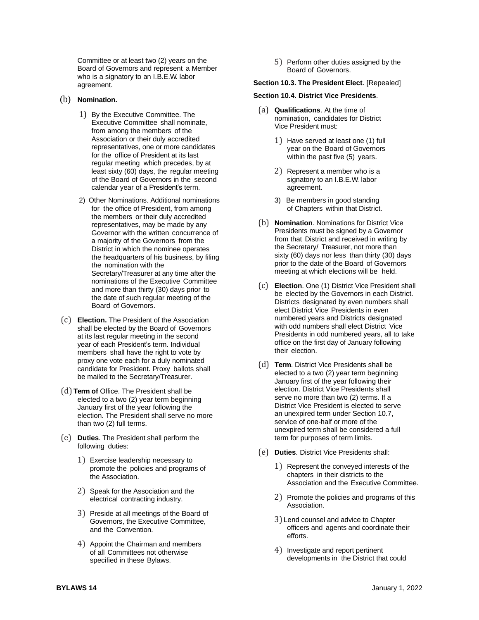Committee or at least two (2) years on the Board of Governors and represent a Member who is a signatory to an I.B.E.W. labor agreement.

## (b) **Nomination.**

- 1) By the Executive Committee. The Executive Committee shall nominate, from among the members of the Association or their duly accredited representatives, one or more candidates for the office of President at its last regular meeting which precedes, by at least sixty (60) days, the regular meeting of the Board of Governors in the second calendar year of a President's term.
- 2) Other Nominations. Additional nominations for the office of President, from among the members or their duly accredited representatives, may be made by any Governor with the written concurrence of a majority of the Governors from the District in which the nominee operates the headquarters of his business, by filing the nomination with the Secretary/Treasurer at any time after the nominations of the Executive Committee and more than thirty (30) days prior to the date of such regular meeting of the Board of Governors.
- (c) **Election.** The President of the Association shall be elected by the Board of Governors at its last regular meeting in the second year of each President's term. Individual members shall have the right to vote by proxy one vote each for a duly nominated candidate for President. Proxy ballots shall be mailed to the Secretary/Treasurer.
- (d) **Term of** Office. The President shall be elected to a two (2) year term beginning January first of the year following the election. The President shall serve no more than two (2) full terms.
- (e) **Duties**. The President shall perform the following duties:
	- 1) Exercise leadership necessary to promote the policies and programs of the Association.
	- 2) Speak for the Association and the electrical contracting industry.
	- 3) Preside at all meetings of the Board of Governors, the Executive Committee, and the Convention.
	- 4) Appoint the Chairman and members of all Committees not otherwise specified in these Bylaws.

5) Perform other duties assigned by the Board of Governors.

#### **Section 10.3. The President Elect**. [Repealed]

#### **Section 10.4. District Vice Presidents**.

- (a) **Qualifications**. At the time of nomination, candidates for District Vice President must:
	- 1) Have served at least one (1) full year on the Board of Governors within the past five (5) years.
	- 2) Represent a member who is a signatory to an I.B.E.W. labor agreement.
	- 3) Be members in good standing of Chapters within that District.
- (b) **Nomination**. Nominations for District Vice Presidents must be signed by a Governor from that District and received in writing by the Secretary/ Treasurer, not more than sixty (60) days nor less than thirty (30) days prior to the date of the Board of Governors meeting at which elections will be held.
- (c) **Election**. One (1) District Vice President shall be elected by the Governors in each District. Districts designated by even numbers shall elect District Vice Presidents in even numbered years and Districts designated with odd numbers shall elect District Vice Presidents in odd numbered years, all to take office on the first day of January following their election.
- (d) **Term**. District Vice Presidents shall be elected to a two (2) year term beginning January first of the year following their election. District Vice Presidents shall serve no more than two (2) terms. If a District Vice President is elected to serve an unexpired term under Section 10.7, service of one-half or more of the unexpired term shall be considered a full term for purposes of term limits.
- (e) **Duties**. District Vice Presidents shall:
	- 1) Represent the conveyed interests of the chapters in their districts to the Association and the Executive Committee.
	- 2) Promote the policies and programs of this Association.
	- 3) Lend counsel and advice to Chapter officers and agents and coordinate their efforts.
	- 4) Investigate and report pertinent developments in the District that could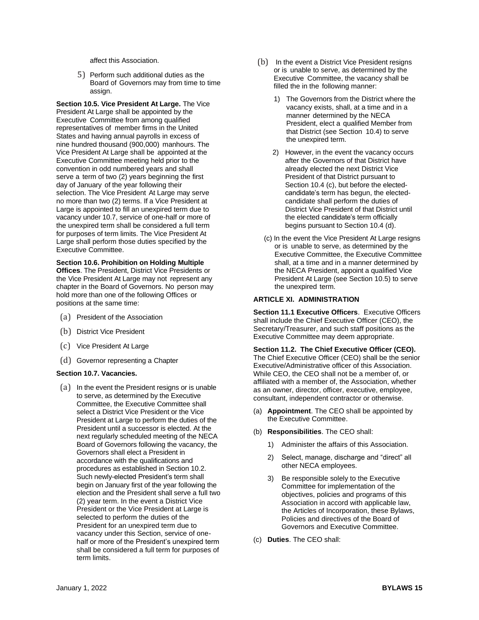affect this Association.

5) Perform such additional duties as the Board of Governors may from time to time assign.

**Section 10.5. Vice President At Large.** The Vice President At Large shall be appointed by the Executive Committee from among qualified representatives of member firms in the United States and having annual payrolls in excess of nine hundred thousand (900,000) manhours. The Vice President At Large shall be appointed at the Executive Committee meeting held prior to the convention in odd numbered years and shall serve a term of two (2) years beginning the first day of January of the year following their selection. The Vice President At Large may serve no more than two (2) terms. If a Vice President at Large is appointed to fill an unexpired term due to vacancy under 10.7, service of one-half or more of the unexpired term shall be considered a full term for purposes of term limits. The Vice President At Large shall perform those duties specified by the Executive Committee.

### **Section 10.6. Prohibition on Holding Multiple**

**Offices**. The President, District Vice Presidents or the Vice President At Large may not represent any chapter in the Board of Governors. No person may hold more than one of the following Offices or positions at the same time:

- (a) President of the Association
- (b) District Vice President
- (c) Vice President At Large
- (d) Governor representing a Chapter

#### **Section 10.7. Vacancies.**

(a) In the event the President resigns or is unable to serve, as determined by the Executive Committee, the Executive Committee shall select a District Vice President or the Vice President at Large to perform the duties of the President until a successor is elected. At the next regularly scheduled meeting of the NECA Board of Governors following the vacancy, the Governors shall elect a President in accordance with the qualifications and procedures as established in Section 10.2. Such newly-elected President's term shall begin on January first of the year following the election and the President shall serve a full two (2) year term. In the event a District Vice President or the Vice President at Large is selected to perform the duties of the President for an unexpired term due to vacancy under this Section, service of onehalf or more of the President's unexpired term shall be considered a full term for purposes of term limits.

- (b) In the event a District Vice President resigns or is unable to serve, as determined by the Executive Committee, the vacancy shall be filled the in the following manner:
	- 1) The Governors from the District where the vacancy exists, shall, at a time and in a manner determined by the NECA President, elect a qualified Member from that District (see Section 10.4) to serve the unexpired term.
	- 2) However, in the event the vacancy occurs after the Governors of that District have already elected the next District Vice President of that District pursuant to Section 10.4 (c), but before the electedcandidate's term has begun, the electedcandidate shall perform the duties of District Vice President of that District until the elected candidate's term officially begins pursuant to Section 10.4 (d).
	- (c) In the event the Vice President At Large resigns or is unable to serve, as determined by the Executive Committee, the Executive Committee shall, at a time and in a manner determined by the NECA President, appoint a qualified Vice President At Large (see Section 10.5) to serve the unexpired term.

#### **ARTICLE XI. ADMINISTRATION**

**Section 11.1 Executive Officers**. Executive Officers shall include the Chief Executive Officer (CEO), the Secretary/Treasurer, and such staff positions as the Executive Committee may deem appropriate.

**Section 11.2. The Chief Executive Officer (CEO).**  The Chief Executive Officer (CEO) shall be the senior Executive/Administrative officer of this Association. While CEO, the CEO shall not be a member of, or affiliated with a member of, the Association, whether as an owner, director, officer, executive, employee, consultant, independent contractor or otherwise.

- (a) **Appointment**. The CEO shall be appointed by the Executive Committee.
- (b) **Responsibilities**. The CEO shall:
	- 1) Administer the affairs of this Association.
	- 2) Select, manage, discharge and "direct" all other NECA employees.
	- 3) Be responsible solely to the Executive Committee for implementation of the objectives, policies and programs of this Association in accord with applicable law, the Articles of Incorporation, these Bylaws, Policies and directives of the Board of Governors and Executive Committee.
- (c) **Duties**. The CEO shall: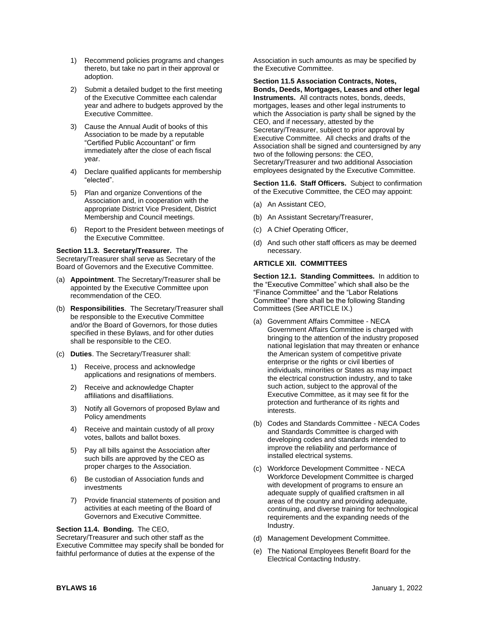- 1) Recommend policies programs and changes thereto, but take no part in their approval or adoption.
- 2) Submit a detailed budget to the first meeting of the Executive Committee each calendar year and adhere to budgets approved by the Executive Committee.
- 3) Cause the Annual Audit of books of this Association to be made by a reputable "Certified Public Accountant" or firm immediately after the close of each fiscal year.
- 4) Declare qualified applicants for membership "elected".
- 5) Plan and organize Conventions of the Association and, in cooperation with the appropriate District Vice President, District Membership and Council meetings.
- 6) Report to the President between meetings of the Executive Committee.

#### **Section 11.3. Secretary/Treasurer.** The

Secretary/Treasurer shall serve as Secretary of the Board of Governors and the Executive Committee.

- (a) **Appointment**. The Secretary/Treasurer shall be appointed by the Executive Committee upon recommendation of the CEO.
- (b) **Responsibilities**. The Secretary/Treasurer shall be responsible to the Executive Committee and/or the Board of Governors, for those duties specified in these Bylaws, and for other duties shall be responsible to the CEO.
- (c) **Duties**. The Secretary/Treasurer shall:
	- 1) Receive, process and acknowledge applications and resignations of members.
	- 2) Receive and acknowledge Chapter affiliations and disaffiliations.
	- 3) Notify all Governors of proposed Bylaw and Policy amendments
	- 4) Receive and maintain custody of all proxy votes, ballots and ballot boxes.
	- 5) Pay all bills against the Association after such bills are approved by the CEO as proper charges to the Association.
	- 6) Be custodian of Association funds and investments
	- 7) Provide financial statements of position and activities at each meeting of the Board of Governors and Executive Committee.

## **Section 11.4. Bonding.** The CEO,

Secretary/Treasurer and such other staff as the Executive Committee may specify shall be bonded for faithful performance of duties at the expense of the

Association in such amounts as may be specified by the Executive Committee.

**Section 11.5 Association Contracts, Notes, Bonds, Deeds, Mortgages, Leases and other legal Instruments.** All contracts notes, bonds, deeds. mortgages, leases and other legal instruments to which the Association is party shall be signed by the CEO, and if necessary, attested by the Secretary/Treasurer, subject to prior approval by Executive Committee. All checks and drafts of the Association shall be signed and countersigned by any two of the following persons: the CEO, Secretary/Treasurer and two additional Association employees designated by the Executive Committee.

**Section 11.6. Staff Officers.** Subject to confirmation of the Executive Committee, the CEO may appoint:

- (a) An Assistant CEO,
- (b) An Assistant Secretary/Treasurer,
- (c) A Chief Operating Officer,
- (d) And such other staff officers as may be deemed necessary.

## **ARTICLE XII. COMMITTEES**

**Section 12.1. Standing Committees.** In addition to the "Executive Committee" which shall also be the "Finance Committee" and the "Labor Relations Committee" there shall be the following Standing Committees (See ARTICLE IX.)

- (a) Government Affairs Committee NECA Government Affairs Committee is charged with bringing to the attention of the industry proposed national legislation that may threaten or enhance the American system of competitive private enterprise or the rights or civil liberties of individuals, minorities or States as may impact the electrical construction industry, and to take such action, subject to the approval of the Executive Committee, as it may see fit for the protection and furtherance of its rights and interests.
- (b) Codes and Standards Committee NECA Codes and Standards Committee is charged with developing codes and standards intended to improve the reliability and performance of installed electrical systems.
- (c) Workforce Development Committee NECA Workforce Development Committee is charged with development of programs to ensure an adequate supply of qualified craftsmen in all areas of the country and providing adequate, continuing, and diverse training for technological requirements and the expanding needs of the Industry.
- (d) Management Development Committee.
- (e) The National Employees Benefit Board for the Electrical Contacting Industry.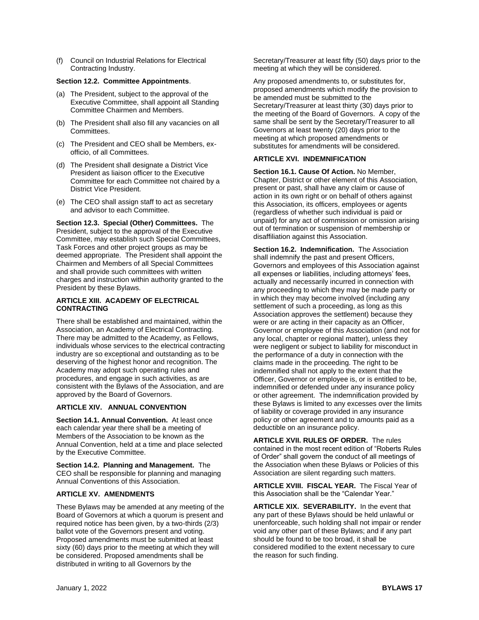(f) Council on Industrial Relations for Electrical Contracting Industry.

## **Section 12.2. Committee Appointments**.

- (a) The President, subject to the approval of the Executive Committee, shall appoint all Standing Committee Chairmen and Members.
- (b) The President shall also fill any vacancies on all Committees.
- (c) The President and CEO shall be Members, exofficio, of all Committees.
- (d) The President shall designate a District Vice President as liaison officer to the Executive Committee for each Committee not chaired by a District Vice President.
- (e) The CEO shall assign staff to act as secretary and advisor to each Committee.

**Section 12.3. Special (Other) Committees.** The President, subject to the approval of the Executive Committee, may establish such Special Committees, Task Forces and other project groups as may be deemed appropriate. The President shall appoint the Chairmen and Members of all Special Committees and shall provide such committees with written charges and instruction within authority granted to the President by these Bylaws.

## **ARTICLE XIII. ACADEMY OF ELECTRICAL CONTRACTING**

There shall be established and maintained, within the Association, an Academy of Electrical Contracting. There may be admitted to the Academy, as Fellows, individuals whose services to the electrical contracting industry are so exceptional and outstanding as to be deserving of the highest honor and recognition. The Academy may adopt such operating rules and procedures, and engage in such activities, as are consistent with the Bylaws of the Association, and are approved by the Board of Governors.

## **ARTICLE XIV. ANNUAL CONVENTION**

**Section 14.1. Annual Convention.** At least once each calendar year there shall be a meeting of Members of the Association to be known as the Annual Convention, held at a time and place selected by the Executive Committee.

**Section 14.2. Planning and Management.** The CEO shall be responsible for planning and managing Annual Conventions of this Association.

## **ARTICLE XV. AMENDMENTS**

These Bylaws may be amended at any meeting of the Board of Governors at which a quorum is present and required notice has been given, by a two-thirds (2/3) ballot vote of the Governors present and voting. Proposed amendments must be submitted at least sixty (60) days prior to the meeting at which they will be considered. Proposed amendments shall be distributed in writing to all Governors by the

Secretary/Treasurer at least fifty (50) days prior to the meeting at which they will be considered.

Any proposed amendments to, or substitutes for, proposed amendments which modify the provision to be amended must be submitted to the Secretary/Treasurer at least thirty (30) days prior to the meeting of the Board of Governors. A copy of the same shall be sent by the Secretary/Treasurer to all Governors at least twenty (20) days prior to the meeting at which proposed amendments or substitutes for amendments will be considered.

## **ARTICLE XVI. INDEMNIFICATION**

**Section 16.1. Cause Of Action.** No Member, Chapter, District or other element of this Association, present or past, shall have any claim or cause of action in its own right or on behalf of others against this Association, its officers, employees or agents (regardless of whether such individual is paid or unpaid) for any act of commission or omission arising out of termination or suspension of membership or disaffiliation against this Association.

**Section 16.2. Indemnification.** The Association shall indemnify the past and present Officers, Governors and employees of this Association against all expenses or liabilities, including attorneys' fees, actually and necessarily incurred in connection with any proceeding to which they may be made party or in which they may become involved (including any settlement of such a proceeding, as long as this Association approves the settlement) because they were or are acting in their capacity as an Officer, Governor or employee of this Association (and not for any local, chapter or regional matter), unless they were negligent or subject to liability for misconduct in the performance of a duty in connection with the claims made in the proceeding. The right to be indemnified shall not apply to the extent that the Officer, Governor or employee is, or is entitled to be, indemnified or defended under any insurance policy or other agreement. The indemnification provided by these Bylaws is limited to any excesses over the limits of liability or coverage provided in any insurance policy or other agreement and to amounts paid as a deductible on an insurance policy.

**ARTICLE XVII. RULES OF ORDER.** The rules contained in the most recent edition of "Roberts Rules of Order" shall govern the conduct of all meetings of the Association when these Bylaws or Policies of this Association are silent regarding such matters.

**ARTICLE XVIII. FISCAL YEAR.** The Fiscal Year of this Association shall be the "Calendar Year."

**ARTICLE XIX. SEVERABILITY.** In the event that any part of these Bylaws should be held unlawful or unenforceable, such holding shall not impair or render void any other part of these Bylaws; and if any part should be found to be too broad, it shall be considered modified to the extent necessary to cure the reason for such finding.